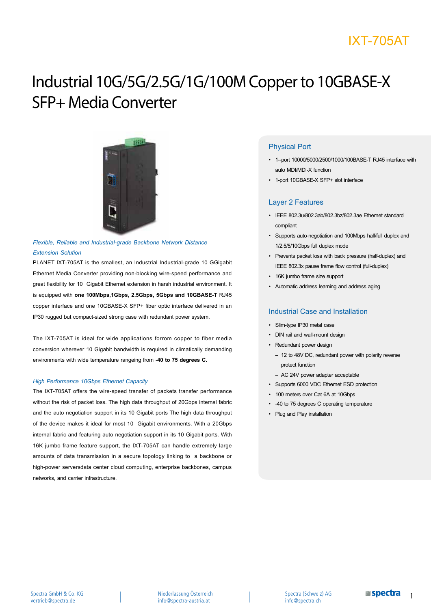# IXT-705AT

# Industrial 10G/5G/2.5G/1G/100M Copper to 10GBASE-X SFP+ Media Converter



### *Flexible, Reliable and Industrial-grade Backbone Network Distance Extension Solution*

PLANET IXT-705AT is the smallest, an Industrial Industrial-grade 10 GGigabit Ethernet Media Converter providing non-blocking wire-speed performance and great flexibility for 10 Gigabit Ethernet extension in harsh industrial environment. It is equipped with **one 100Mbps,1Gbps, 2.5Gbps, 5Gbps and 10GBASE-T** RJ45 copper interface and one 10GBASE-X SFP+ fiber optic interface delivered in an IP30 rugged but compact-sized strong case with redundant power system.

The IXT-705AT is ideal for wide applications forrom copper to fiber media conversion wherever 10 Gigabit bandwidth is required in climatically demanding environments with wide temperature rangeing from **-40 to 75 degrees C.**

### *High Performance 10Gbps Ethernet Capacity*

The IXT-705AT offers the wire-speed transfer of packets transfer performance without the risk of packet loss. The high data throughput of 20Gbps internal fabric and the auto negotiation support in its 10 Gigabit ports The high data throughput of the device makes it ideal for most 10 Gigabit environments. With a 20Gbps internal fabric and featuring auto negotiation support in its 10 Gigabit ports. With 16K jumbo frame feature support, the IXT-705AT can handle extremely large amounts of data transmission in a secure topology linking to a backbone or high-power serversdata center cloud computing, enterprise backbones, campus networks, and carrier infrastructure.

### Physical Port

- 1--port 10000/5000/2500/1000/100BASE-T RJ45 interface with auto MDI/MDI-X function
- 1-port 10GBASE-X SFP+ slot interface

### Layer 2 Features

- IEEE 802.3u/802.3ab/802.3bz/802.3ae Ethernet standard compliant
- Supports auto-negotiation and 100Mbps half/full duplex and 1/2.5/5/10Gbps full duplex mode
- Prevents packet loss with back pressure (half-duplex) and IEEE 802.3x pause frame flow control (full-duplex)
- 16K jumbo frame size support
- Automatic address learning and address aging

### Industrial Case and Installation

- Slim-type IP30 metal case
- DIN rail and wall-mount design
- Redundant power design
	- 12 to 48V DC, redundant power with polarity reverse protect function
	- AC 24V power adapter acceptable
- Supports 6000 VDC Ethernet ESD protection
- 100 meters over Cat 6A at 10Gbps
- -40 to 75 degrees C operating temperature
- Plug and Play installation

Spectra (Schweiz) AG info@spectra.ch

1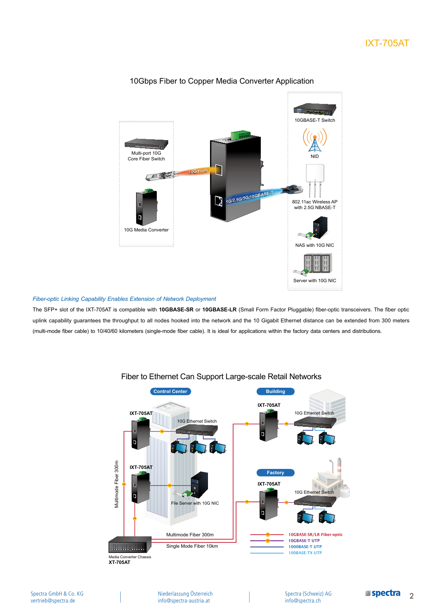

### 10Gbps Fiber to Copper Media Converter Application

### *Fiber-optic Linking Capability Enables Extension of Network Deployment*

The SFP+ slot of the IXT-705AT is compatible with **10GBASE-SR** or **10GBASE-LR** (Small Form Factor Pluggable) fiber-optic transceivers. The fiber optic uplink capability guarantees the throughput to all nodes hooked into the network and the 10 Gigabit Ethernet distance can be extended from 300 meters (multi-mode fiber cable) to 10/40/60 kilometers (single-mode fiber cable). It is ideal for applications within the factory data centers and distributions.



### Fiber to Ethernet Can Support Large-scale Retail Networks

Spectra (Schweiz) AG info@spectra.ch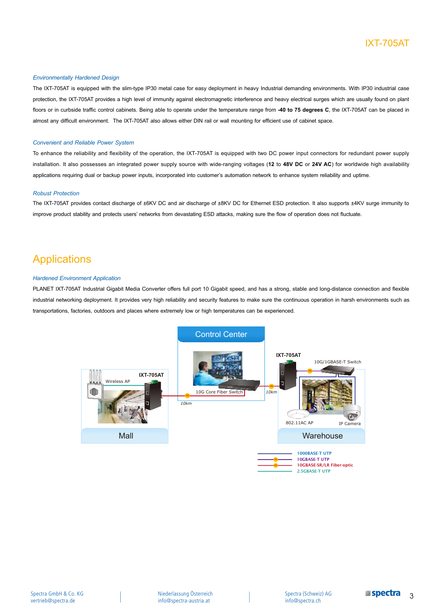### IXT-705AT

### *Environmentally Hardened Design*

The IXT-705AT is equipped with the slim-type IP30 metal case for easy deployment in heavy Industrial demanding environments. With IP30 industrial case protection, the IXT-705AT provides a high level of immunity against electromagnetic interference and heavy electrical surges which are usually found on plant floors or in curbside traffic control cabinets. Being able to operate under the temperature range from **-40 to 75 degrees C**, the IXT-705AT can be placed in almost any difficult environment. The IXT-705AT also allows either DIN rail or wall mounting for efficient use of cabinet space.

#### *Convenient and Reliable Power System*

To enhance the reliability and flexibility of the operation, the IXT-705AT is equipped with two DC power input connectors for redundant power supply installation. It also possesses an integrated power supply source with wide-ranging voltages (**12** to **48V DC** or **24V AC**) for worldwide high availability applications requiring dual or backup power inputs, incorporated into customer's automation network to enhance system reliability and uptime.

#### *Robust Protection*

The IXT-705AT provides contact discharge of ±6KV DC and air discharge of ±8KV DC for Ethernet ESD protection. It also supports ±4KV surge immunity to improve product stability and protects users' networks from devastating ESD attacks, making sure the flow of operation does not fluctuate.

### Applications

#### *Hardened Environment Application*

PLANET IXT-705AT Industrial Gigabit Media Converter offers full port 10 Gigabit speed, and has a strong, stable and long-distance connection and flexible industrial networking deployment. It provides very high reliability and security features to make sure the continuous operation in harsh environments such as transportations, factories, outdoors and places where extremely low or high temperatures can be experienced.

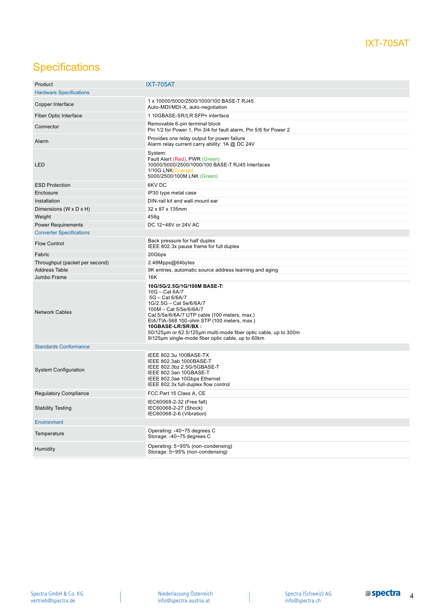# **Specifications**

| Product                         | <b>IXT-705AT</b>                                                                                                                                                                                                                                                                                                                                                   |
|---------------------------------|--------------------------------------------------------------------------------------------------------------------------------------------------------------------------------------------------------------------------------------------------------------------------------------------------------------------------------------------------------------------|
| <b>Hardware Specifications</b>  |                                                                                                                                                                                                                                                                                                                                                                    |
| Copper Interface                | 1 x 10000/5000/2500/1000/100 BASE-T RJ45<br>Auto-MDI/MDI-X, auto-negotiation                                                                                                                                                                                                                                                                                       |
| Fiber Optic Interface           | 1 10GBASE-SR/LR SFP+ interface                                                                                                                                                                                                                                                                                                                                     |
| Connector                       | Removable 6-pin terminal block<br>Pin 1/2 for Power 1, Pin 3/4 for fault alarm, Pin 5/6 for Power 2                                                                                                                                                                                                                                                                |
| Alarm                           | Provides one relay output for power failure<br>Alarm relay current carry ability: 1A @ DC 24V                                                                                                                                                                                                                                                                      |
| LED                             | System:<br>Fault Alert (Red), PWR (Green)<br>10000/5000/2500/1000/100 BASE-T RJ45 Interfaces<br>1/10G LNK(Orange)<br>5000/2500/100M LNK (Green)                                                                                                                                                                                                                    |
| <b>ESD Protection</b>           | 6KV DC                                                                                                                                                                                                                                                                                                                                                             |
| Enclosure                       | IP30 type metal case                                                                                                                                                                                                                                                                                                                                               |
| Installation                    | DIN-rail kit and wall-mount ear                                                                                                                                                                                                                                                                                                                                    |
| Dimensions (W x D x H)          | 32 x 87 x 135mm                                                                                                                                                                                                                                                                                                                                                    |
| Weight                          | 458g                                                                                                                                                                                                                                                                                                                                                               |
| <b>Power Requirements</b>       | DC 12~48V or 24V AC                                                                                                                                                                                                                                                                                                                                                |
| <b>Converter Specifications</b> |                                                                                                                                                                                                                                                                                                                                                                    |
|                                 |                                                                                                                                                                                                                                                                                                                                                                    |
| <b>Flow Control</b>             | Back pressure for half duplex<br>IEEE 802.3x pause frame for full duplex                                                                                                                                                                                                                                                                                           |
| Fabric                          | 20Gbps                                                                                                                                                                                                                                                                                                                                                             |
| Throughput (packet per second)  | 2.48Mpps@64bytes                                                                                                                                                                                                                                                                                                                                                   |
| <b>Address Table</b>            | 9K entries, automatic source address learning and aging                                                                                                                                                                                                                                                                                                            |
| Jumbo Frame                     | 16K                                                                                                                                                                                                                                                                                                                                                                |
| <b>Network Cables</b>           | 10G/5G/2.5G/1G/100M BASE-T:<br>$10G - Cat 6A/7$<br>5G - Cat 6/6A/7<br>1G/2.5G - Cat 5e/6/6A/7<br>100M - Cat 5/5e/6/6A/7<br>Cat 5/5e/6/6A/7 UTP cable (100 meters, max.)<br>EIA/TIA-568 100-ohm STP (100 meters, max.)<br>10GBASE-LR/SR/BX:<br>50/125µm or 62.5/125µm multi-mode fiber optic cable, up to 300m<br>9/125µm single-mode fiber optic cable, up to 60km |
| <b>Standards Conformance</b>    |                                                                                                                                                                                                                                                                                                                                                                    |
| System Configuration            | IEEE 802.3u 100BASE-TX<br>IEEE 802.3ab 1000BASE-T<br>IEEE 802.3bz 2.5G/5GBASE-T<br>IEEE 802.3an 10GBASE-T<br>IEEE 802.3ae 10Gbps Ethernet<br>IEEE 802.3x full-duplex flow control                                                                                                                                                                                  |
| <b>Regulatory Compliance</b>    | FCC Part 15 Class A, CE                                                                                                                                                                                                                                                                                                                                            |
| <b>Stability Testing</b>        | IEC60068-2-32 (Free fall)<br>IEC60068-2-27 (Shock)<br>IEC60068-2-6 (Vibration)                                                                                                                                                                                                                                                                                     |
| <b>Environment</b>              |                                                                                                                                                                                                                                                                                                                                                                    |
| Temperature                     | Operating: -40~75 degrees C<br>Storage: -40~75 degrees C                                                                                                                                                                                                                                                                                                           |
| Humidity                        | Operating: 5~95% (non-condensing)<br>Storage: 5~95% (non-condensing)                                                                                                                                                                                                                                                                                               |